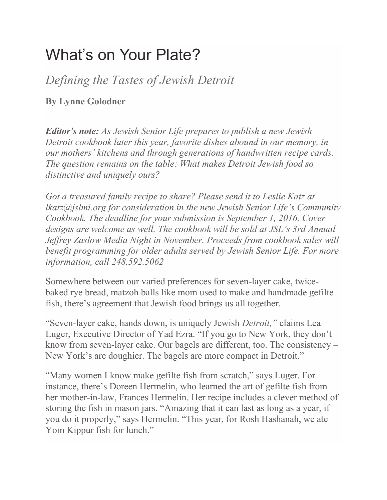# What's on Your Plate?

*Defining the Tastes of Jewish Detroit*

## **By Lynne Golodner**

*Editor's note: As Jewish Senior Life prepares to publish a new Jewish Detroit cookbook later this year, favorite dishes abound in our memory, in our mothers' kitchens and through generations of handwritten recipe cards. The question remains on the table: What makes Detroit Jewish food so distinctive and uniquely ours?*

*Got a treasured family recipe to share? Please send it to Leslie Katz at lkatz@jslmi.org for consideration in the new Jewish Senior Life's Community Cookbook. The deadline for your submission is September 1, 2016. Cover designs are welcome as well. The cookbook will be sold at JSL's 3rd Annual Jeffrey Zaslow Media Night in November. Proceeds from cookbook sales will benefit programming for older adults served by Jewish Senior Life. For more information, call 248.592.5062*

Somewhere between our varied preferences for seven-layer cake, twicebaked rye bread, matzoh balls like mom used to make and handmade gefilte fish, there's agreement that Jewish food brings us all together.

"Seven-layer cake, hands down, is uniquely Jewish *Detroit,"* claims Lea Luger, Executive Director of Yad Ezra. "If you go to New York, they don't know from seven-layer cake. Our bagels are different, too. The consistency – New York's are doughier. The bagels are more compact in Detroit."

"Many women I know make gefilte fish from scratch," says Luger. For instance, there's Doreen Hermelin, who learned the art of gefilte fish from her mother-in-law, Frances Hermelin. Her recipe includes a clever method of storing the fish in mason jars. "Amazing that it can last as long as a year, if you do it properly," says Hermelin. "This year, for Rosh Hashanah, we ate Yom Kippur fish for lunch."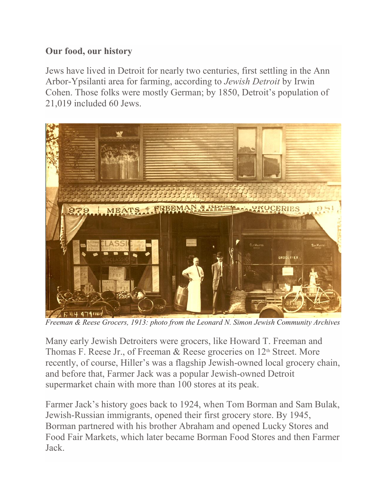## **Our food, our history**

Jews have lived in Detroit for nearly two centuries, first settling in the Ann Arbor-Ypsilanti area for farming, according to *Jewish Detroit* by Irwin Cohen. Those folks were mostly German; by 1850, Detroit's population of 21,019 included 60 Jews.



*Freeman & Reese Grocers, 1913: photo from the Leonard N. Simon Jewish Community Archives*

Many early Jewish Detroiters were grocers, like Howard T. Freeman and Thomas F. Reese Jr., of Freeman & Reese groceries on  $12<sup>th</sup>$  Street. More recently, of course, Hiller's was a flagship Jewish-owned local grocery chain, and before that, Farmer Jack was a popular Jewish-owned Detroit supermarket chain with more than 100 stores at its peak.

Farmer Jack's history goes back to 1924, when Tom Borman and Sam Bulak, Jewish-Russian immigrants, opened their first grocery store. By 1945, Borman partnered with his brother Abraham and opened Lucky Stores and Food Fair Markets, which later became Borman Food Stores and then Farmer Jack.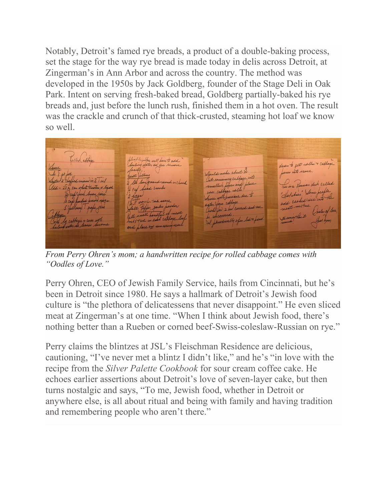Notably, Detroit's famed rye breads, a product of a double-baking process, set the stage for the way rye bread is made today in delis across Detroit, at Zingerman's in Ann Arbor and across the country. The method was developed in the 1950s by Jack Goldberg, founder of the Stage Deli in Oak Park. Intent on serving fresh-baked bread, Goldberg partially-baked his rye breads and, just before the lunch rush, finished them in a hot oven. The result was the crackle and crunch of that thick-crusted, steaming hot loaf we know so well.

Tilled affage liable the well have to add lowen to get rolle & cathage facting water as you remove  $\ln 10h$ beins into sauce. I make about 20 ext filling lut remaining cathage into the lean ground round on church his is a fursian dish called I cup head exembes an what tenstes w lisite Halubes, Some people un sabbye with. all meresse due "Holubaro sice into the cup backed brain sugar It worchestere sauce m cathage. et Pepper garler pewder mettere. Jullary) Teppe jam roll for 2 hrs could an Order of le uncound Clear hom le cathoge + com with I Shirdically ofen and place on semmeres

*From Perry Ohren's mom; a handwritten recipe for rolled cabbage comes with "Oodles of Love."*

Perry Ohren, CEO of Jewish Family Service, hails from Cincinnati, but he's been in Detroit since 1980. He says a hallmark of Detroit's Jewish food culture is "the plethora of delicatessens that never disappoint." He even sliced meat at Zingerman's at one time. "When I think about Jewish food, there's nothing better than a Rueben or corned beef-Swiss-coleslaw-Russian on rye."

Perry claims the blintzes at JSL's Fleischman Residence are delicious, cautioning, "I've never met a blintz I didn't like," and he's "in love with the recipe from the *Silver Palette Cookbook* for sour cream coffee cake. He echoes earlier assertions about Detroit's love of seven-layer cake, but then turns nostalgic and says, "To me, Jewish food, whether in Detroit or anywhere else, is all about ritual and being with family and having tradition and remembering people who aren't there."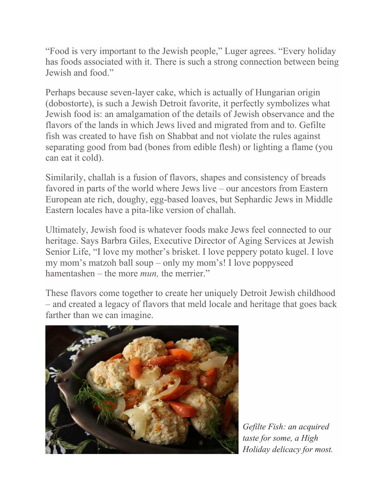"Food is very important to the Jewish people," Luger agrees. "Every holiday has foods associated with it. There is such a strong connection between being Jewish and food."

Perhaps because seven-layer cake, which is actually of Hungarian origin (dobostorte), is such a Jewish Detroit favorite, it perfectly symbolizes what Jewish food is: an amalgamation of the details of Jewish observance and the flavors of the lands in which Jews lived and migrated from and to. Gefilte fish was created to have fish on Shabbat and not violate the rules against separating good from bad (bones from edible flesh) or lighting a flame (you can eat it cold).

Similarily, challah is a fusion of flavors, shapes and consistency of breads favored in parts of the world where Jews live – our ancestors from Eastern European ate rich, doughy, egg-based loaves, but Sephardic Jews in Middle Eastern locales have a pita-like version of challah.

Ultimately, Jewish food is whatever foods make Jews feel connected to our heritage. Says Barbra Giles, Executive Director of Aging Services at Jewish Senior Life, "I love my mother's brisket. I love peppery potato kugel. I love my mom's matzoh ball soup – only my mom's! I love poppyseed hamentashen – the more *mun,* the merrier."

These flavors come together to create her uniquely Detroit Jewish childhood – and created a legacy of flavors that meld locale and heritage that goes back farther than we can imagine.



*Gefilte Fish: an acquired taste for some, a High Holiday delicacy for most.*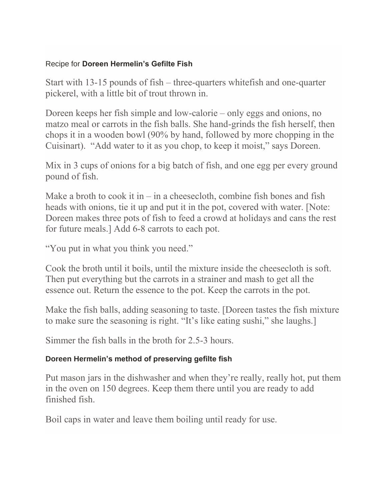#### Recipe for **Doreen Hermelin's Gefilte Fish**

Start with 13-15 pounds of fish – three-quarters whitefish and one-quarter pickerel, with a little bit of trout thrown in.

Doreen keeps her fish simple and low-calorie – only eggs and onions, no matzo meal or carrots in the fish balls. She hand-grinds the fish herself, then chops it in a wooden bowl (90% by hand, followed by more chopping in the Cuisinart). "Add water to it as you chop, to keep it moist," says Doreen.

Mix in 3 cups of onions for a big batch of fish, and one egg per every ground pound of fish.

Make a broth to cook it in – in a cheesecloth, combine fish bones and fish heads with onions, tie it up and put it in the pot, covered with water. [Note: Doreen makes three pots of fish to feed a crowd at holidays and cans the rest for future meals.] Add 6-8 carrots to each pot.

"You put in what you think you need."

Cook the broth until it boils, until the mixture inside the cheesecloth is soft. Then put everything but the carrots in a strainer and mash to get all the essence out. Return the essence to the pot. Keep the carrots in the pot.

Make the fish balls, adding seasoning to taste. [Doreen tastes the fish mixture to make sure the seasoning is right. "It's like eating sushi," she laughs.]

Simmer the fish balls in the broth for 2.5-3 hours.

### **Doreen Hermelin's method of preserving gefilte fish**

Put mason jars in the dishwasher and when they're really, really hot, put them in the oven on 150 degrees. Keep them there until you are ready to add finished fish.

Boil caps in water and leave them boiling until ready for use.